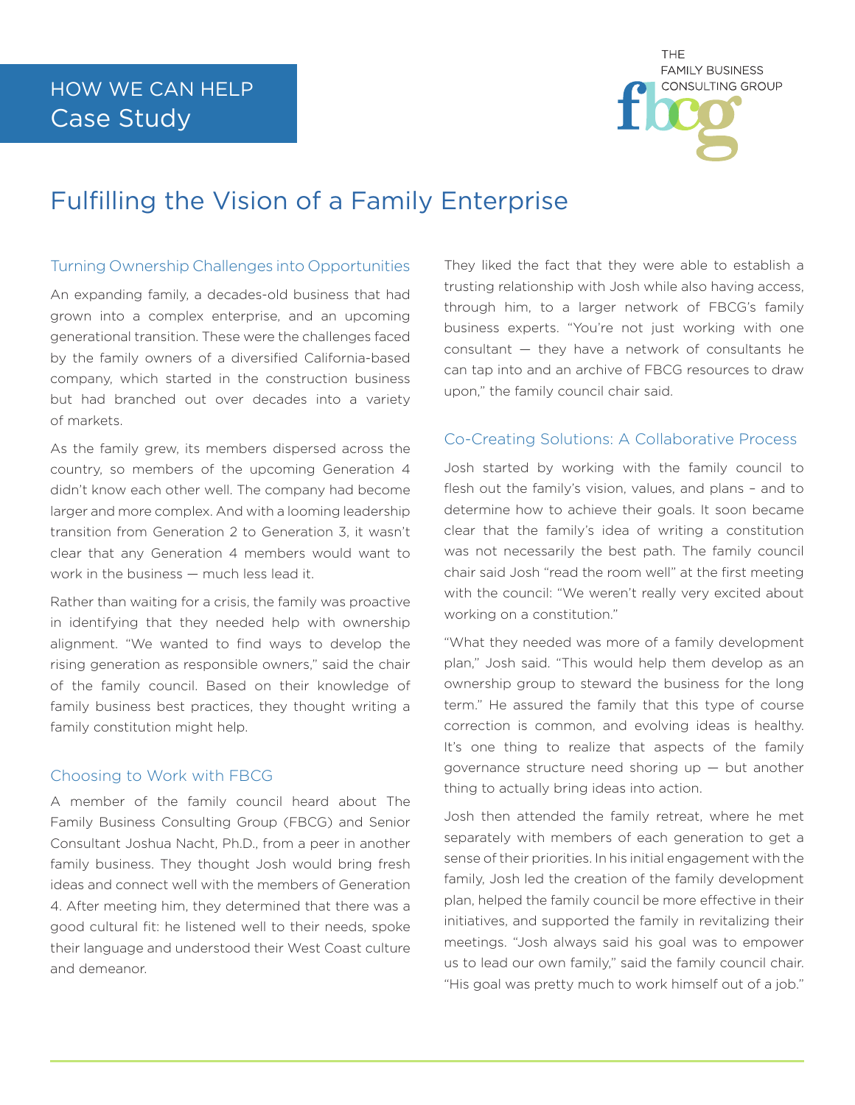

# Fulfilling the Vision of a Family Enterprise

## Turning Ownership Challenges into Opportunities

An expanding family, a decades-old business that had grown into a complex enterprise, and an upcoming generational transition. These were the challenges faced by the family owners of a diversified California-based company, which started in the construction business but had branched out over decades into a variety of markets.

As the family grew, its members dispersed across the country, so members of the upcoming Generation 4 didn't know each other well. The company had become larger and more complex. And with a looming leadership transition from Generation 2 to Generation 3, it wasn't clear that any Generation 4 members would want to work in the business — much less lead it.

Rather than waiting for a crisis, the family was proactive in identifying that they needed help with ownership alignment. "We wanted to find ways to develop the rising generation as responsible owners," said the chair of the family council. Based on their knowledge of family business best practices, they thought writing a family constitution might help.

# Choosing to Work with FBCG

A member of the family council heard about The Family Business Consulting Group (FBCG) and Senior Consultant Joshua Nacht, Ph.D., from a peer in another family business. They thought Josh would bring fresh ideas and connect well with the members of Generation 4. After meeting him, they determined that there was a good cultural fit: he listened well to their needs, spoke their language and understood their West Coast culture and demeanor.

They liked the fact that they were able to establish a trusting relationship with Josh while also having access, through him, to a larger network of FBCG's family business experts. "You're not just working with one consultant — they have a network of consultants he can tap into and an archive of FBCG resources to draw upon," the family council chair said.

# Co-Creating Solutions: A Collaborative Process

Josh started by working with the family council to flesh out the family's vision, values, and plans – and to determine how to achieve their goals. It soon became clear that the family's idea of writing a constitution was not necessarily the best path. The family council chair said Josh "read the room well" at the first meeting with the council: "We weren't really very excited about working on a constitution."

"What they needed was more of a family development plan," Josh said. "This would help them develop as an ownership group to steward the business for the long term." He assured the family that this type of course correction is common, and evolving ideas is healthy. It's one thing to realize that aspects of the family governance structure need shoring up — but another thing to actually bring ideas into action.

Josh then attended the family retreat, where he met separately with members of each generation to get a sense of their priorities. In his initial engagement with the family, Josh led the creation of the family development plan, helped the family council be more effective in their initiatives, and supported the family in revitalizing their meetings. "Josh always said his goal was to empower us to lead our own family," said the family council chair. "His goal was pretty much to work himself out of a job."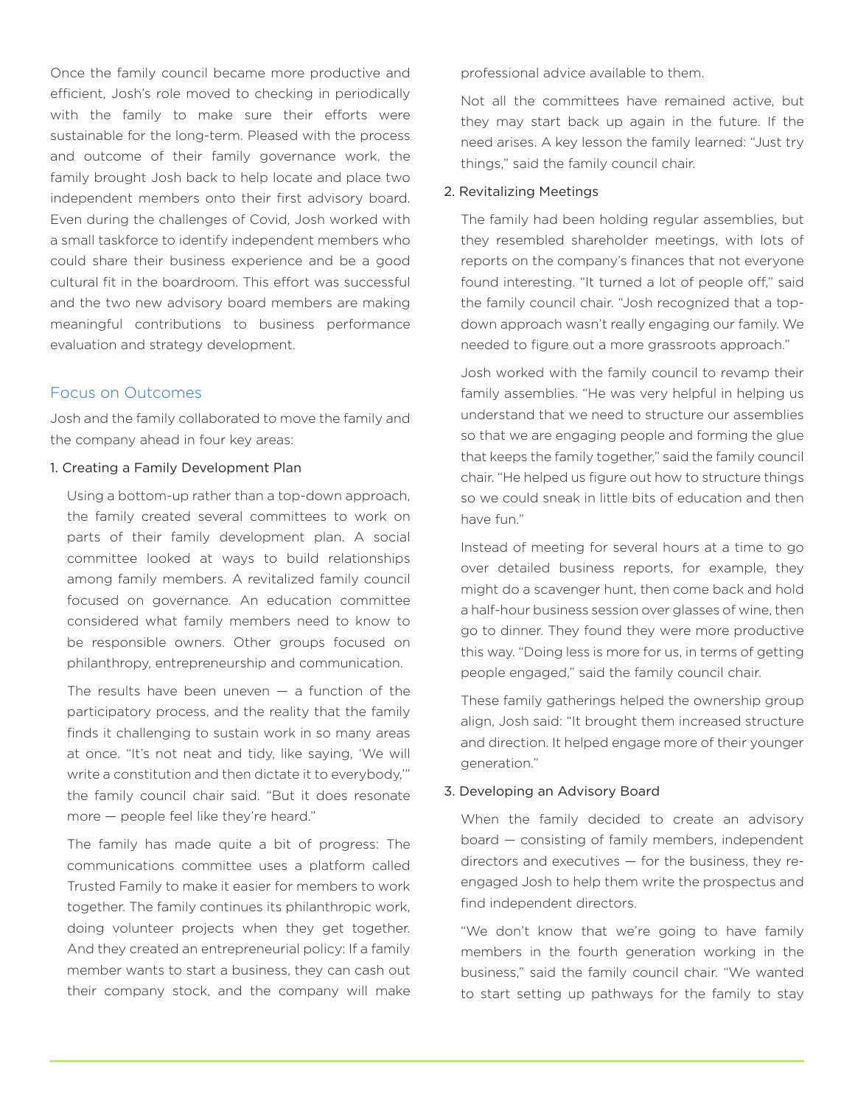Once the family council became more productive and efficient, Josh's role moved to checking in periodically with the family to make sure their efforts were sustainable for the long-term. Pleased with the process and outcome of their family governance work, the family brought Josh back to help locate and place two independent members onto their first advisory board. Even during the challenges of Covid, Josh worked with a small taskforce to identify independent members who could share their business experience and be a good cultural fit in the boardroom. This effort was successful and the two new advisory board members are making meaningful contributions to business performance evaluation and strategy development.

### Focus on Outcomes

Josh and the family collaborated to move the family and the company ahead in four key areas:

#### 1. Creating a Family Development Plan

Using a bottom-up rather than a top-down approach, the family created several committees to work on parts of their family development plan. A social committee looked at ways to build relationships among family members. A revitalized family council focused on governance. An education committee considered what family members need to know to be responsible owners. Other groups focused on philanthropy, entrepreneurship and communication.

The results have been uneven  $-$  a function of the participatory process, and the reality that the family finds it challenging to sustain work in so many areas at once. "It's not neat and tidy, like saying, 'We will write a constitution and then dictate it to everybody,'" the family council chair said. "But it does resonate more — people feel like they're heard."

The family has made quite a bit of progress: The communications committee uses a platform called Trusted Family to make it easier for members to work together. The family continues its philanthropic work, doing volunteer projects when they get together. And they created an entrepreneurial policy: If a family member wants to start a business, they can cash out their company stock, and the company will make

professional advice available to them.

Not all the committees have remained active, but they may start back up again in the future. If the need arises. A key lesson the family learned: "Just try things," said the family council chair.

#### 2. Revitalizing Meetings

The family had been holding regular assemblies, but they resembled shareholder meetings, with lots of reports on the company's finances that not everyone found interesting. "It turned a lot of people off," said the family council chair. "Josh recognized that a topdown approach wasn't really engaging our family. We needed to figure out a more grassroots approach."

Josh worked with the family council to revamp their family assemblies. "He was very helpful in helping us understand that we need to structure our assemblies so that we are engaging people and forming the glue that keeps the family together," said the family council chair. "He helped us figure out how to structure things so we could sneak in little bits of education and then have fun."

Instead of meeting for several hours at a time to go over detailed business reports, for example, they might do a scavenger hunt, then come back and hold a half-hour business session over glasses of wine, then go to dinner. They found they were more productive this way. "Doing less is more for us, in terms of getting people engaged," said the family council chair.

These family gatherings helped the ownership group align, Josh said: "It brought them increased structure and direction. It helped engage more of their younger generation."

#### 3. Developing an Advisory Board

When the family decided to create an advisory board — consisting of family members, independent directors and executives — for the business, they reengaged Josh to help them write the prospectus and find independent directors.

"We don't know that we're going to have family members in the fourth generation working in the business," said the family council chair. "We wanted to start setting up pathways for the family to stay